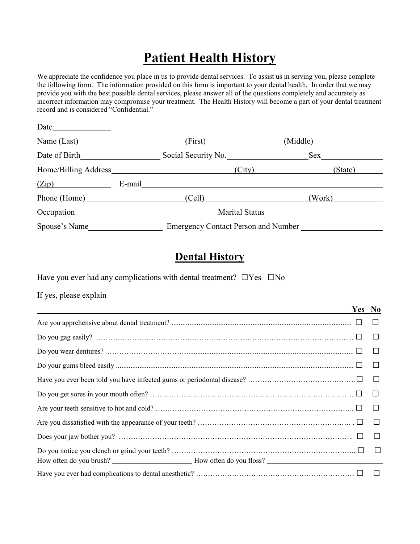# **Patient Health History**

We appreciate the confidence you place in us to provide dental services. To assist us in serving you, please complete the following form. The information provided on this form is important to your dental health. In order that we may provide you with the best possible dental services, please answer all of the questions completely and accurately as incorrect information may compromise your treatment. The Health History will become a part of your dental treatment record and is considered "Confidential."

| Date          |        |                                     |                       |          |         |
|---------------|--------|-------------------------------------|-----------------------|----------|---------|
|               |        | First)                              |                       | (Middle) |         |
|               |        | Social Security No.                 |                       | Sex      |         |
|               |        |                                     | (City)                |          | (State) |
| (Zip)         | E-mail |                                     |                       |          |         |
|               |        | (Cell)                              |                       | (Work)   |         |
|               |        |                                     | <b>Marital Status</b> |          |         |
| Spouse's Name |        | Emergency Contact Person and Number |                       |          |         |

#### **Dental History**

Have you ever had any complications with dental treatment?  $\square$  Yes  $\square$  No

| Yes No |        |
|--------|--------|
|        | $\Box$ |
|        | ⊔      |
|        |        |
|        |        |
|        |        |
|        |        |
|        |        |
|        | $\Box$ |
|        | $\Box$ |
|        |        |
|        |        |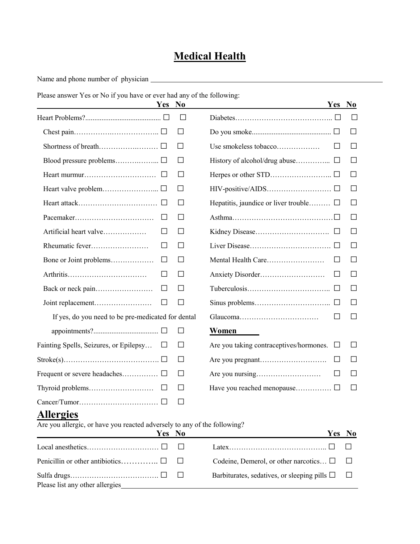### **Medical Health**

Name and phone number of physician

Please answer Yes or No if you have or ever had any of the following:

| Yes No                                             |        | Yes No                                       |              |
|----------------------------------------------------|--------|----------------------------------------------|--------------|
|                                                    | П      |                                              |              |
|                                                    | $\Box$ |                                              | ப            |
|                                                    | ப      | Use smokeless tobacco                        | $\Box$       |
|                                                    | ⊔      |                                              | $\Box$       |
|                                                    | $\Box$ |                                              | $\Box$       |
|                                                    | $\Box$ |                                              | $\perp$      |
|                                                    | $\Box$ | Hepatitis, jaundice or liver trouble $\Box$  | $\Box$       |
| $\Box$                                             | $\Box$ |                                              | $\Box$       |
| Artificial heart valve<br>$\perp$                  | □      |                                              | П            |
| $\Box$                                             | □      |                                              | $\Box$       |
| Bone or Joint problems<br>$\Box$                   | ⊔      | Mental Health Care<br>⊔                      | $\Box$       |
| $\Box$                                             | $\Box$ | ப                                            | ப            |
| $\Box$                                             | $\Box$ |                                              | $\Box$       |
| $\Box$                                             | $\Box$ |                                              | $\Box$       |
| If yes, do you need to be pre-medicated for dental |        |                                              |              |
|                                                    | $\Box$ | Women                                        |              |
| Fainting Spells, Seizures, or Epilepsy<br>⊔        | $\Box$ | Are you taking contraceptives/hormones.<br>□ | П            |
|                                                    | $\Box$ | $\Box$                                       | $\mathsf{L}$ |
|                                                    | □      | ⊔                                            | $\Box$       |
| $\Box$                                             | □      |                                              | $\Box$       |
|                                                    | $\Box$ |                                              |              |

## **Allergies**

Are you allergic, or have you reacted adversely to any of the following?

| Yes No                          |                                                                                                                                                                                                                                                                                                                                                                                                                            | Yes No |  |
|---------------------------------|----------------------------------------------------------------------------------------------------------------------------------------------------------------------------------------------------------------------------------------------------------------------------------------------------------------------------------------------------------------------------------------------------------------------------|--------|--|
|                                 | $\lceil \det(x_1, \ldots, x_n, \ldots, x_n, \ldots, x_n, \ldots, x_n, \ldots, x_n, \ldots, x_n, \ldots, x_n, \ldots, x_n, \ldots, x_n, \ldots, x_n, \ldots, x_n, \ldots, x_n, \ldots, x_n, \ldots, x_n, \ldots, x_n, \ldots, x_n, \ldots, x_n, \ldots, x_n, \ldots, x_n, \ldots, x_n, \ldots, x_n, \ldots, x_n, \ldots, x_n, \ldots, x_n, \ldots, x_n, \ldots, x_n, \ldots, x_n, \ldots, x_n, \ldots, x_n, \ldots, x_n, \$ |        |  |
|                                 | Codeine, Demerol, or other narcotics $\Box$ $\Box$                                                                                                                                                                                                                                                                                                                                                                         |        |  |
| Please list any other allergies | Barbiturates, sedatives, or sleeping pills $\Box$ $\Box$                                                                                                                                                                                                                                                                                                                                                                   |        |  |